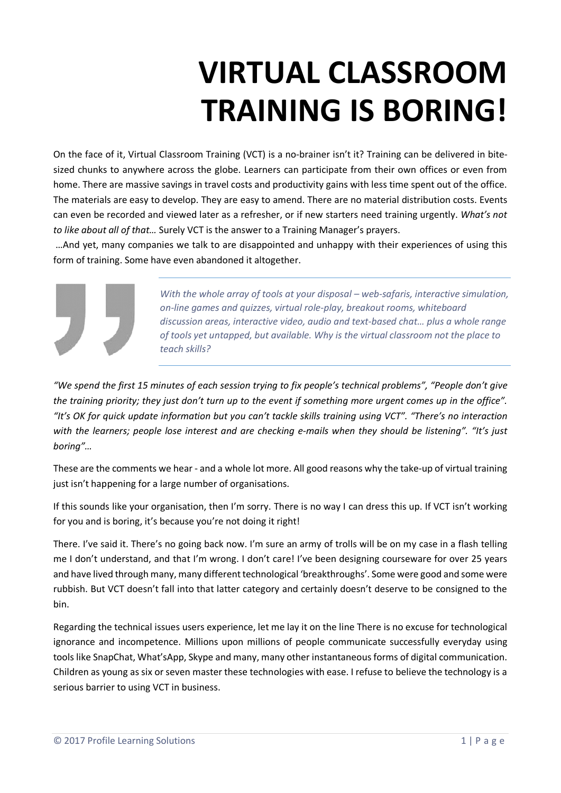## **VIRTUAL CLASSROOM TRAINING IS BORING!**

On the face of it, Virtual Classroom Training (VCT) is a no-brainer isn't it? Training can be delivered in bitesized chunks to anywhere across the globe. Learners can participate from their own offices or even from home. There are massive savings in travel costs and productivity gains with less time spent out of the office. The materials are easy to develop. They are easy to amend. There are no material distribution costs. Events can even be recorded and viewed later as a refresher, or if new starters need training urgently. *What's not to like about all of that…* Surely VCT is the answer to a Training Manager's prayers.

…And yet, many companies we talk to are disappointed and unhappy with their experiences of using this form of training. Some have even abandoned it altogether.



*With the whole array of tools at your disposal – web-safaris, interactive simulation, on-line games and quizzes, virtual role-play, breakout rooms, whiteboard discussion areas, interactive video, audio and text-based chat… plus a whole range of tools yet untapped, but available. Why is the virtual classroom not the place to teach skills?*

*"We spend the first 15 minutes of each session trying to fix people's technical problems", "People don't give the training priority; they just don't turn up to the event if something more urgent comes up in the office". "It's OK for quick update information but you can't tackle skills training using VCT". "There's no interaction with the learners; people lose interest and are checking e-mails when they should be listening". "It's just boring"…*

These are the comments we hear - and a whole lot more. All good reasons why the take-up of virtual training just isn't happening for a large number of organisations.

If this sounds like your organisation, then I'm sorry. There is no way I can dress this up. If VCT isn't working for you and is boring, it's because you're not doing it right!

There. I've said it. There's no going back now. I'm sure an army of trolls will be on my case in a flash telling me I don't understand, and that I'm wrong. I don't care! I've been designing courseware for over 25 years and have lived through many, many different technological 'breakthroughs'. Some were good and some were rubbish. But VCT doesn't fall into that latter category and certainly doesn't deserve to be consigned to the bin.

Regarding the technical issues users experience, let me lay it on the line There is no excuse for technological ignorance and incompetence. Millions upon millions of people communicate successfully everyday using tools like SnapChat, What'sApp, Skype and many, many other instantaneous forms of digital communication. Children as young as six or seven master these technologies with ease. I refuse to believe the technology is a serious barrier to using VCT in business.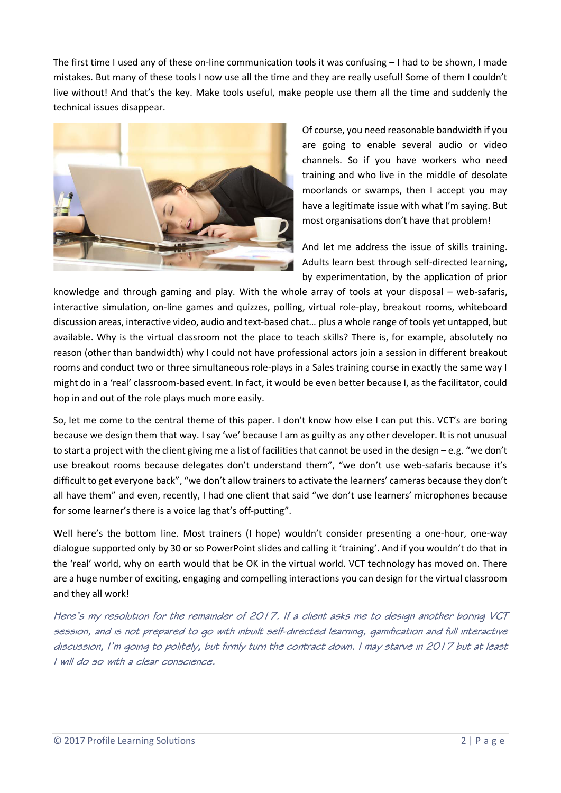The first time I used any of these on-line communication tools it was confusing – I had to be shown, I made mistakes. But many of these tools I now use all the time and they are really useful! Some of them I couldn't live without! And that's the key. Make tools useful, make people use them all the time and suddenly the technical issues disappear.



Of course, you need reasonable bandwidth if you are going to enable several audio or video channels. So if you have workers who need training and who live in the middle of desolate moorlands or swamps, then I accept you may have a legitimate issue with what I'm saying. But most organisations don't have that problem!

And let me address the issue of skills training. Adults learn best through self-directed learning, by experimentation, by the application of prior

knowledge and through gaming and play. With the whole array of tools at your disposal – web-safaris, interactive simulation, on-line games and quizzes, polling, virtual role-play, breakout rooms, whiteboard discussion areas, interactive video, audio and text-based chat… plus a whole range of tools yet untapped, but available. Why is the virtual classroom not the place to teach skills? There is, for example, absolutely no reason (other than bandwidth) why I could not have professional actors join a session in different breakout rooms and conduct two or three simultaneous role-plays in a Sales training course in exactly the same way I might do in a 'real' classroom-based event. In fact, it would be even better because I, as the facilitator, could hop in and out of the role plays much more easily.

So, let me come to the central theme of this paper. I don't know how else I can put this. VCT's are boring because we design them that way. I say 'we' because I am as guilty as any other developer. It is not unusual to start a project with the client giving me a list of facilities that cannot be used in the design – e.g. "we don't use breakout rooms because delegates don't understand them", "we don't use web-safaris because it's difficult to get everyone back", "we don't allow trainers to activate the learners' cameras because they don't all have them" and even, recently, I had one client that said "we don't use learners' microphones because for some learner's there is a voice lag that's off-putting".

Well here's the bottom line. Most trainers (I hope) wouldn't consider presenting a one-hour, one-way dialogue supported only by 30 or so PowerPoint slides and calling it 'training'. And if you wouldn't do that in the 'real' world, why on earth would that be OK in the virtual world. VCT technology has moved on. There are a huge number of exciting, engaging and compelling interactions you can design for the virtual classroom and they all work!

Here's my resolution for the remainder of 2017. If a client asks me to design another boring VCT session, and is not prepared to go with inbuilt self-directed learning, gamification and full interactive discussion, I'm going to politely, but firmly turn the contract down. I may starve in 2017 but at least I will do so with a clear conscience.